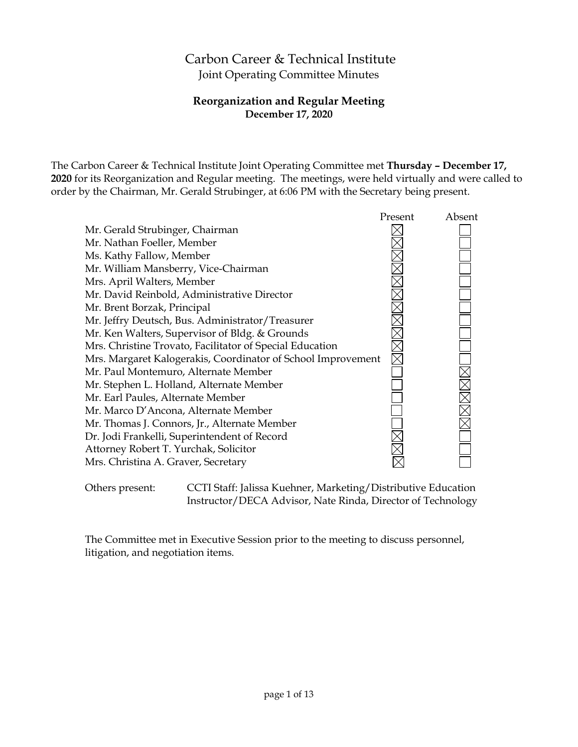# Carbon Career & Technical Institute Joint Operating Committee Minutes

# **Reorganization and Regular Meeting December 17, 2020**

The Carbon Career & Technical Institute Joint Operating Committee met **Thursday – December 17, 2020** for its Reorganization and Regular meeting. The meetings, were held virtually and were called to order by the Chairman, Mr. Gerald Strubinger, at 6:06 PM with the Secretary being present.

|                                                              | Present | Absent     |
|--------------------------------------------------------------|---------|------------|
| Mr. Gerald Strubinger, Chairman                              |         |            |
| Mr. Nathan Foeller, Member                                   |         |            |
| Ms. Kathy Fallow, Member                                     |         |            |
| Mr. William Mansberry, Vice-Chairman                         |         |            |
| Mrs. April Walters, Member                                   |         |            |
| Mr. David Reinbold, Administrative Director                  |         |            |
| Mr. Brent Borzak, Principal                                  |         |            |
| Mr. Jeffry Deutsch, Bus. Administrator/Treasurer             |         |            |
| Mr. Ken Walters, Supervisor of Bldg. & Grounds               |         |            |
| Mrs. Christine Trovato, Facilitator of Special Education     |         |            |
| Mrs. Margaret Kalogerakis, Coordinator of School Improvement |         |            |
| Mr. Paul Montemuro, Alternate Member                         |         |            |
| Mr. Stephen L. Holland, Alternate Member                     |         |            |
| Mr. Earl Paules, Alternate Member                            |         | XIX<br>XIX |
| Mr. Marco D'Ancona, Alternate Member                         |         |            |
| Mr. Thomas J. Connors, Jr., Alternate Member                 |         |            |
| Dr. Jodi Frankelli, Superintendent of Record                 |         |            |
| Attorney Robert T. Yurchak, Solicitor                        |         |            |
| Mrs. Christina A. Graver, Secretary                          |         |            |
|                                                              |         |            |

Others present: CCTI Staff: Jalissa Kuehner, Marketing/Distributive Education Instructor/DECA Advisor, Nate Rinda, Director of Technology

The Committee met in Executive Session prior to the meeting to discuss personnel, litigation, and negotiation items.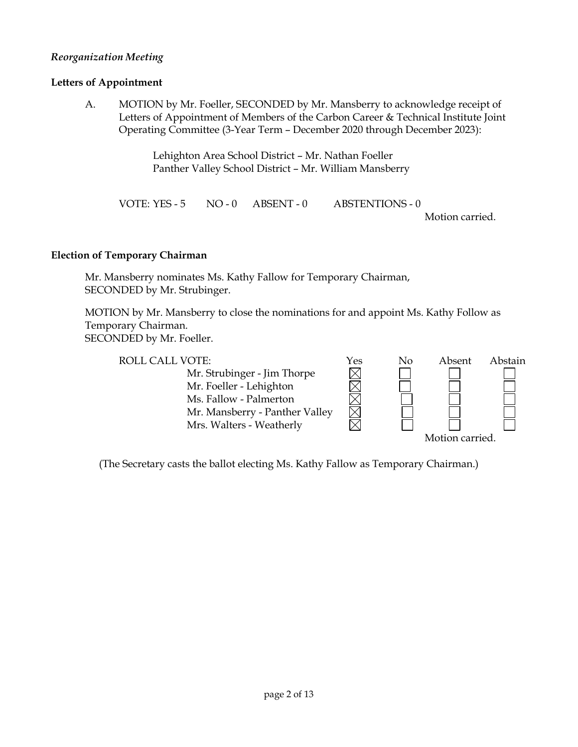### *Reorganization Meeting*

#### **Letters of Appointment**

A. MOTION by Mr. Foeller, SECONDED by Mr. Mansberry to acknowledge receipt of Letters of Appointment of Members of the Carbon Career & Technical Institute Joint Operating Committee (3-Year Term – December 2020 through December 2023):

> Lehighton Area School District – Mr. Nathan Foeller Panther Valley School District – Mr. William Mansberry

VOTE: YES - 5 NO - 0 ABSENT - 0 ABSTENTIONS - 0 Motion carried.

#### **Election of Temporary Chairman**

Mr. Mansberry nominates Ms. Kathy Fallow for Temporary Chairman, SECONDED by Mr. Strubinger.

MOTION by Mr. Mansberry to close the nominations for and appoint Ms. Kathy Follow as Temporary Chairman. SECONDED by Mr. Foeller.

ROLL CALL VOTE:<br>
Mr. Strubinger - Jim Thorpe<br>
Mr. Foeller - Lehighton<br>
Ms. Fallow - Palmerton Mr. Strubinger - Jim Thorpe Mr. Foeller - Lehighton Ms. Fallow - Palmerton Mr. Mansberry - Panther Valley Mrs. Walters - Weatherly Motion carried.

(The Secretary casts the ballot electing Ms. Kathy Fallow as Temporary Chairman.)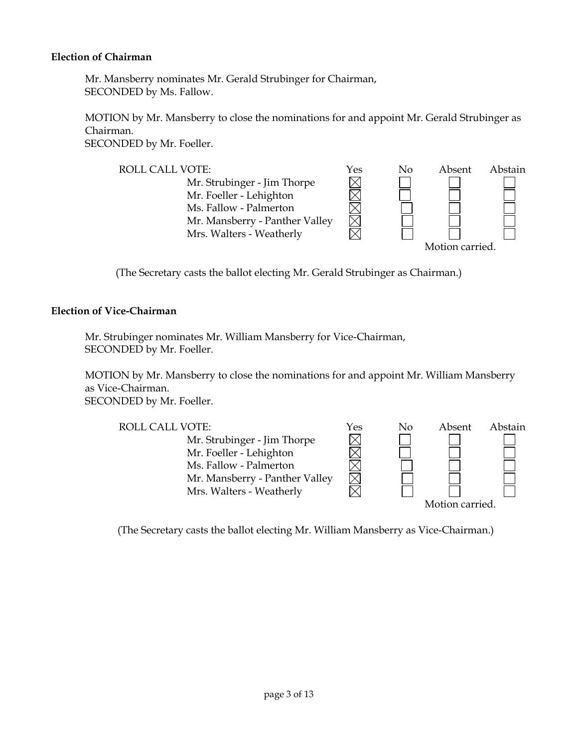#### **Election of Chairman**

Mr. Mansberry nominates Mr. Gerald Strubinger for Chairman, SECONDED by Ms. Fallow.

MOTION by Mr. Mansberry to close the nominations for and appoint Mr. Gerald Strubinger as Chairman.

SECONDED by Mr. Foeller.



(The Secretary casts the ballot electing Mr. Gerald Strubinger as Chairman.)

#### **Election of Vice-Chairman**

Mr. Strubinger nominates Mr. William Mansberry for Vice-Chairman, SECONDED by Mr. Foeller.

MOTION by Mr. Mansberry to close the nominations for and appoint Mr. William Mansberry as Vice-Chairman. SECONDED by Mr. Foeller.

ROLL CALL VOTE:<br>
Mr. Strubinger - Jim Thorpe<br>
Mr. Foeller - Lehighton<br>  $\boxtimes$ Mr. Strubinger - Jim Thorpe Mr. Foeller - Lehighton Ms. Fallow - Palmerton Mr. Mansberry - Panther Valley Mrs. Walters - Weatherly

Motion carried.

(The Secretary casts the ballot electing Mr. William Mansberry as Vice-Chairman.)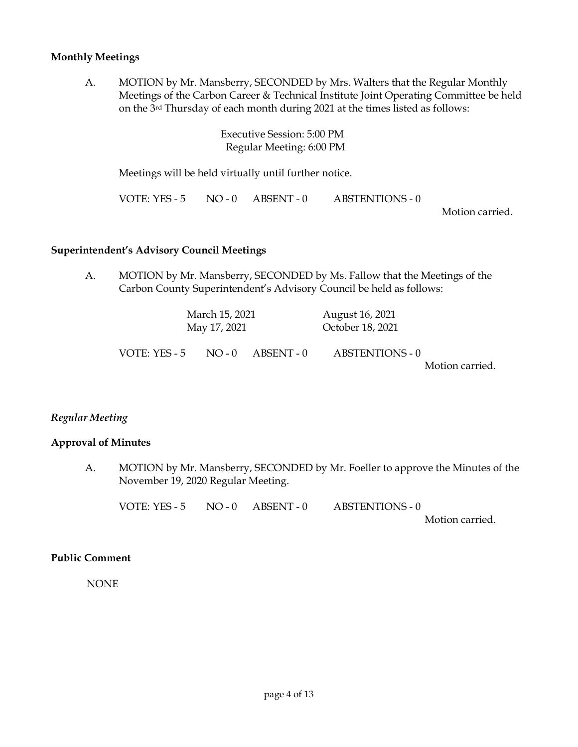#### **Monthly Meetings**

A. MOTION by Mr. Mansberry, SECONDED by Mrs. Walters that the Regular Monthly Meetings of the Carbon Career & Technical Institute Joint Operating Committee be held on the 3rd Thursday of each month during 2021 at the times listed as follows:

> Executive Session: 5:00 PM Regular Meeting: 6:00 PM

Meetings will be held virtually until further notice.

VOTE: YES - 5 NO - 0 ABSENT - 0 ABSTENTIONS - 0

Motion carried.

#### **Superintendent's Advisory Council Meetings**

A. MOTION by Mr. Mansberry, SECONDED by Ms. Fallow that the Meetings of the Carbon County Superintendent's Advisory Council be held as follows:

| August 16, 2021  |                       |              | March 15, 2021 |  |  |
|------------------|-----------------------|--------------|----------------|--|--|
| October 18, 2021 |                       | May 17, 2021 |                |  |  |
| ABSTENTIONS - 0  | $NO - 0$ $ABSENT - 0$ |              | VOTE: YES - 5  |  |  |
| Motion carried.  |                       |              |                |  |  |

### *Regular Meeting*

#### **Approval of Minutes**

A. MOTION by Mr. Mansberry, SECONDED by Mr. Foeller to approve the Minutes of the November 19, 2020 Regular Meeting.

VOTE: YES - 5 NO - 0 ABSENT - 0 ABSTENTIONS - 0

Motion carried.

### **Public Comment**

NONE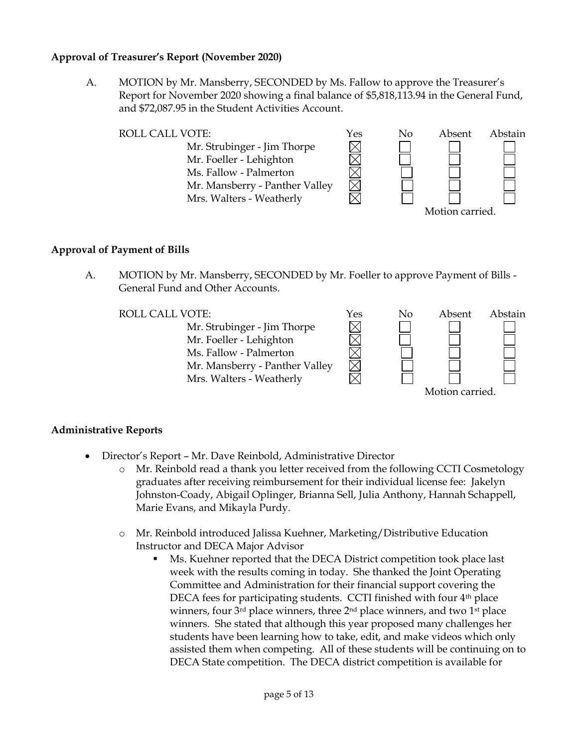### **Approval of Treasurer's Report (November 2020)**

A. MOTION by Mr. Mansberry, SECONDED by Ms. Fallow to approve the Treasurer's Report for November 2020 showing a final balance of \$5,818,113.94 in the General Fund, and \$72,087.95 in the Student Activities Account.



#### **Approval of Payment of Bills**

A. MOTION by Mr. Mansberry, SECONDED by Mr. Foeller to approve Payment of Bills - General Fund and Other Accounts.

Mr. Strubinger - Jim Thorpe Mr. Foeller - Lehighton Ms. Fallow - Palmerton Mr. Mansberry - Panther Valley Mrs. Walters - Weatherly



### **Administrative Reports**

- Director's Report Mr. Dave Reinbold, Administrative Director
	- o Mr. Reinbold read a thank you letter received from the following CCTI Cosmetology graduates after receiving reimbursement for their individual license fee: Jakelyn Johnston-Coady, Abigail Oplinger, Brianna Sell, Julia Anthony, Hannah Schappell, Marie Evans, and Mikayla Purdy.
	- o Mr. Reinbold introduced Jalissa Kuehner, Marketing/Distributive Education Instructor and DECA Major Advisor
		- Ms. Kuehner reported that the DECA District competition took place last week with the results coming in today. She thanked the Joint Operating Committee and Administration for their financial support covering the DECA fees for participating students. CCTI finished with four 4<sup>th</sup> place winners, four 3<sup>rd</sup> place winners, three 2<sup>nd</sup> place winners, and two 1<sup>st</sup> place winners. She stated that although this year proposed many challenges her students have been learning how to take, edit, and make videos which only assisted them when competing. All of these students will be continuing on to DECA State competition. The DECA district competition is available for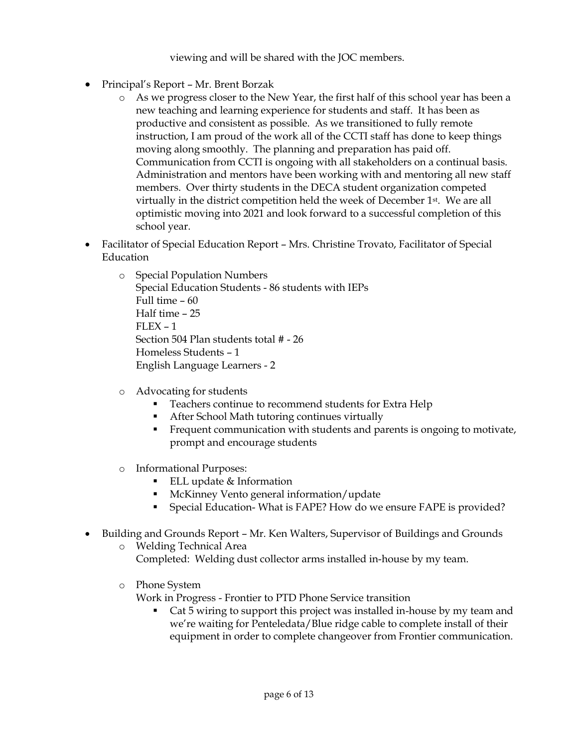viewing and will be shared with the JOC members.

- Principal's Report Mr. Brent Borzak
	- o As we progress closer to the New Year, the first half of this school year has been a new teaching and learning experience for students and staff. It has been as productive and consistent as possible. As we transitioned to fully remote instruction, I am proud of the work all of the CCTI staff has done to keep things moving along smoothly. The planning and preparation has paid off. Communication from CCTI is ongoing with all stakeholders on a continual basis. Administration and mentors have been working with and mentoring all new staff members. Over thirty students in the DECA student organization competed virtually in the district competition held the week of December  $1<sup>st</sup>$ . We are all optimistic moving into 2021 and look forward to a successful completion of this school year.
- Facilitator of Special Education Report Mrs. Christine Trovato, Facilitator of Special Education
	- o Special Population Numbers Special Education Students - 86 students with IEPs Full time – 60 Half time – 25  $FLEX - 1$ Section 504 Plan students total # - 26 Homeless Students – 1 English Language Learners - 2
	- o Advocating for students
		- **Teachers continue to recommend students for Extra Help**
		- After School Math tutoring continues virtually
		- Frequent communication with students and parents is ongoing to motivate, prompt and encourage students
	- o Informational Purposes:
		- ELL update  $&$  Information
		- McKinney Vento general information/update
		- Special Education- What is FAPE? How do we ensure FAPE is provided?
- Building and Grounds Report Mr. Ken Walters, Supervisor of Buildings and Grounds
	- o Welding Technical Area Completed: Welding dust collector arms installed in-house by my team.
	- o Phone System

Work in Progress - Frontier to PTD Phone Service transition

• Cat 5 wiring to support this project was installed in-house by my team and we're waiting for Penteledata/Blue ridge cable to complete install of their equipment in order to complete changeover from Frontier communication.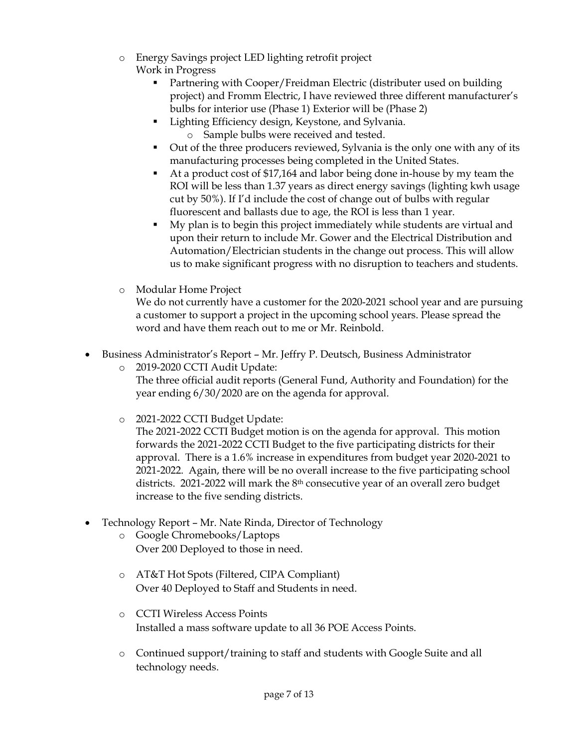- o Energy Savings project LED lighting retrofit project Work in Progress
	- Partnering with Cooper/Freidman Electric (distributer used on building project) and Fromm Electric, I have reviewed three different manufacturer's bulbs for interior use (Phase 1) Exterior will be (Phase 2)
	- Lighting Efficiency design, Keystone, and Sylvania. o Sample bulbs were received and tested.
	- Out of the three producers reviewed, Sylvania is the only one with any of its manufacturing processes being completed in the United States.
	- At a product cost of \$17,164 and labor being done in-house by my team the ROI will be less than 1.37 years as direct energy savings (lighting kwh usage cut by 50%). If I'd include the cost of change out of bulbs with regular fluorescent and ballasts due to age, the ROI is less than 1 year.
	- My plan is to begin this project immediately while students are virtual and upon their return to include Mr. Gower and the Electrical Distribution and Automation/Electrician students in the change out process. This will allow us to make significant progress with no disruption to teachers and students.
- o Modular Home Project

We do not currently have a customer for the 2020-2021 school year and are pursuing a customer to support a project in the upcoming school years. Please spread the word and have them reach out to me or Mr. Reinbold.

- Business Administrator's Report Mr. Jeffry P. Deutsch, Business Administrator
	- o 2019-2020 CCTI Audit Update: The three official audit reports (General Fund, Authority and Foundation) for the year ending 6/30/2020 are on the agenda for approval.
	- o 2021-2022 CCTI Budget Update:

The 2021-2022 CCTI Budget motion is on the agenda for approval. This motion forwards the 2021-2022 CCTI Budget to the five participating districts for their approval. There is a 1.6% increase in expenditures from budget year 2020-2021 to 2021-2022. Again, there will be no overall increase to the five participating school districts. 2021-2022 will mark the  $8<sup>th</sup>$  consecutive year of an overall zero budget increase to the five sending districts.

- Technology Report Mr. Nate Rinda, Director of Technology
	- o Google Chromebooks/Laptops Over 200 Deployed to those in need.
	- o AT&T Hot Spots (Filtered, CIPA Compliant) Over 40 Deployed to Staff and Students in need.
	- o CCTI Wireless Access Points Installed a mass software update to all 36 POE Access Points.
	- o Continued support/training to staff and students with Google Suite and all technology needs.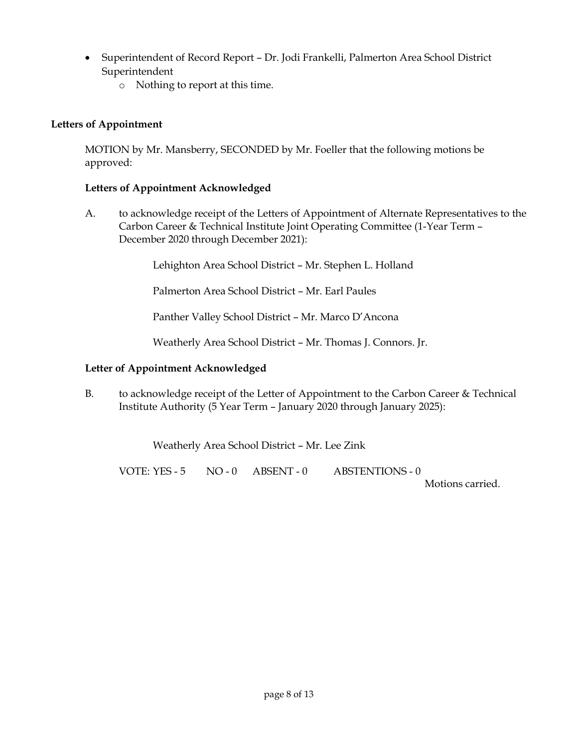- Superintendent of Record Report Dr. Jodi Frankelli, Palmerton Area School District Superintendent
	- o Nothing to report at this time.

# **Letters of Appointment**

MOTION by Mr. Mansberry, SECONDED by Mr. Foeller that the following motions be approved:

# **Letters of Appointment Acknowledged**

A. to acknowledge receipt of the Letters of Appointment of Alternate Representatives to the Carbon Career & Technical Institute Joint Operating Committee (1-Year Term – December 2020 through December 2021):

Lehighton Area School District – Mr. Stephen L. Holland

Palmerton Area School District – Mr. Earl Paules

Panther Valley School District – Mr. Marco D'Ancona

Weatherly Area School District – Mr. Thomas J. Connors. Jr.

# **Letter of Appointment Acknowledged**

B. to acknowledge receipt of the Letter of Appointment to the Carbon Career & Technical Institute Authority (5 Year Term – January 2020 through January 2025):

Weatherly Area School District – Mr. Lee Zink

VOTE: YES - 5 NO - 0 ABSENT - 0 ABSTENTIONS - 0

Motions carried.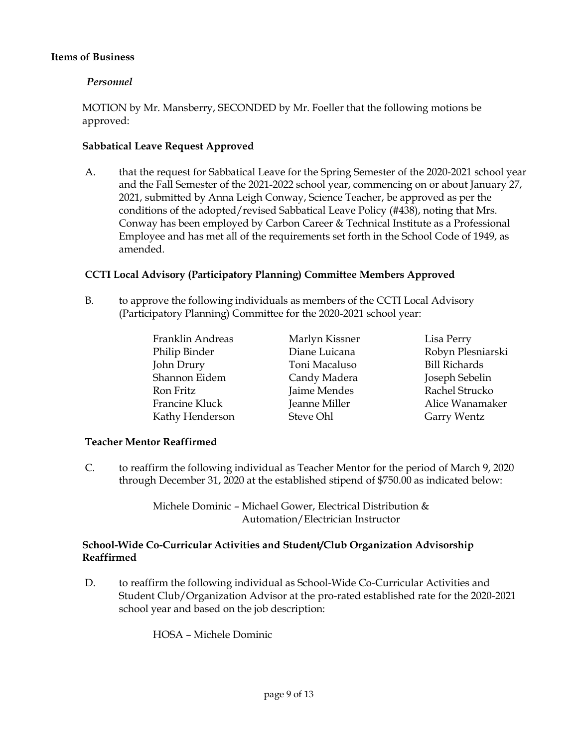### **Items of Business**

# *Personnel*

MOTION by Mr. Mansberry, SECONDED by Mr. Foeller that the following motions be approved:

## **Sabbatical Leave Request Approved**

A. that the request for Sabbatical Leave for the Spring Semester of the 2020-2021 school year and the Fall Semester of the 2021-2022 school year, commencing on or about January 27, 2021, submitted by Anna Leigh Conway, Science Teacher, be approved as per the conditions of the adopted/revised Sabbatical Leave Policy (#438), noting that Mrs. Conway has been employed by Carbon Career & Technical Institute as a Professional Employee and has met all of the requirements set forth in the School Code of 1949, as amended.

# **CCTI Local Advisory (Participatory Planning) Committee Members Approved**

- B. to approve the following individuals as members of the CCTI Local Advisory (Participatory Planning) Committee for the 2020-2021 school year:
	- Franklin Andreas Marlyn Kissner Lisa Perry Philip Binder Diane Luicana Robyn Plesniarski John Drury Toni Macaluso Bill Richards Shannon Eidem Candy Madera Joseph Sebelin Ron Fritz **Fritz** Jaime Mendes Rachel Strucko Francine Kluck **Jeanne Miller** Alice Wanamaker Kathy Henderson Steve Ohl Garry Wentz

### **Teacher Mentor Reaffirmed**

C. to reaffirm the following individual as Teacher Mentor for the period of March 9, 2020 through December 31, 2020 at the established stipend of \$750.00 as indicated below:

> Michele Dominic – Michael Gower, Electrical Distribution & Automation/Electrician Instructor

# **School-Wide Co-Curricular Activities and Student/Club Organization Advisorship Reaffirmed**

D. to reaffirm the following individual as School-Wide Co-Curricular Activities and Student Club/Organization Advisor at the pro-rated established rate for the 2020-2021 school year and based on the job description:

HOSA – Michele Dominic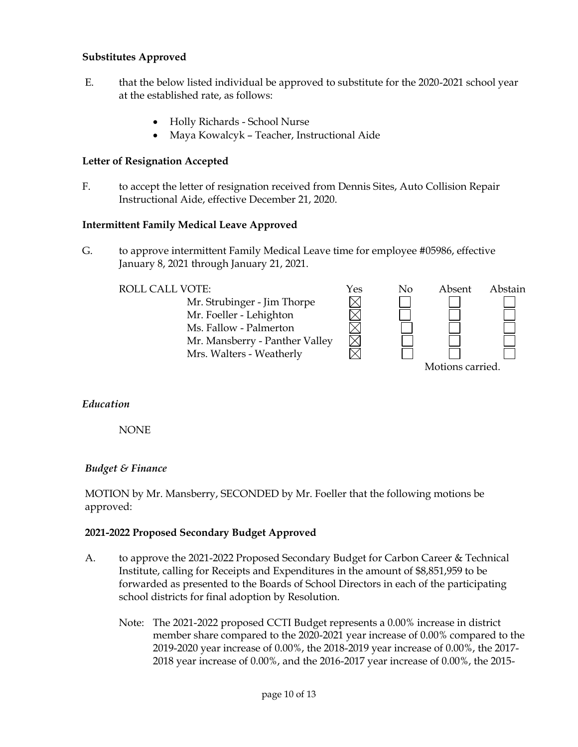### **Substitutes Approved**

- E. that the below listed individual be approved to substitute for the 2020-2021 school year at the established rate, as follows:
	- Holly Richards School Nurse
	- Maya Kowalcyk Teacher, Instructional Aide

#### **Letter of Resignation Accepted**

F. to accept the letter of resignation received from Dennis Sites, Auto Collision Repair Instructional Aide, effective December 21, 2020.

#### **Intermittent Family Medical Leave Approved**

G. to approve intermittent Family Medical Leave time for employee #05986, effective January 8, 2021 through January 21, 2021.

#### ROLL CALL VOTE:  $\gamma$ es No Absent Abstain



### *Education*

NONE

### *Budget & Finance*

MOTION by Mr. Mansberry, SECONDED by Mr. Foeller that the following motions be approved:

#### **2021-2022 Proposed Secondary Budget Approved**

- A. to approve the 2021-2022 Proposed Secondary Budget for Carbon Career & Technical Institute, calling for Receipts and Expenditures in the amount of \$8,851,959 to be forwarded as presented to the Boards of School Directors in each of the participating school districts for final adoption by Resolution.
	- Note: The 2021-2022 proposed CCTI Budget represents a 0.00% increase in district member share compared to the 2020-2021 year increase of 0.00% compared to the 2019-2020 year increase of 0.00%, the 2018-2019 year increase of 0.00%, the 2017- 2018 year increase of 0.00%, and the 2016-2017 year increase of 0.00%, the 2015-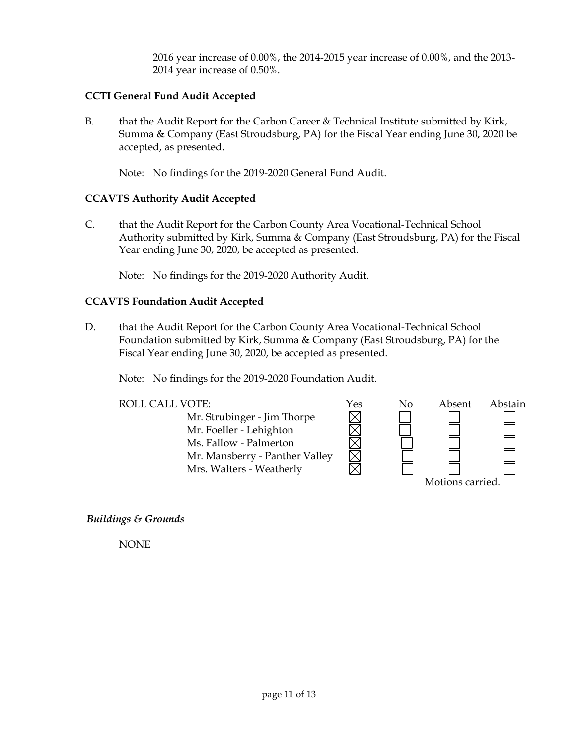2016 year increase of 0.00%, the 2014-2015 year increase of 0.00%, and the 2013- 2014 year increase of 0.50%.

# **CCTI General Fund Audit Accepted**

B. that the Audit Report for the Carbon Career & Technical Institute submitted by Kirk, Summa & Company (East Stroudsburg, PA) for the Fiscal Year ending June 30, 2020 be accepted, as presented.

Note: No findings for the 2019-2020 General Fund Audit.

### **CCAVTS Authority Audit Accepted**

C. that the Audit Report for the Carbon County Area Vocational-Technical School Authority submitted by Kirk, Summa & Company (East Stroudsburg, PA) for the Fiscal Year ending June 30, 2020, be accepted as presented.

Note: No findings for the 2019-2020 Authority Audit.

### **CCAVTS Foundation Audit Accepted**

D. that the Audit Report for the Carbon County Area Vocational-Technical School Foundation submitted by Kirk, Summa & Company (East Stroudsburg, PA) for the Fiscal Year ending June 30, 2020, be accepted as presented.

Note: No findings for the 2019-2020 Foundation Audit.

| ROLL CALL VOTE:                | Yes | No               | Absent | Abstain |  |
|--------------------------------|-----|------------------|--------|---------|--|
| Mr. Strubinger - Jim Thorpe    |     |                  |        |         |  |
| Mr. Foeller - Lehighton        |     |                  |        |         |  |
| Ms. Fallow - Palmerton         |     |                  |        |         |  |
| Mr. Mansberry - Panther Valley |     |                  |        |         |  |
| Mrs. Walters - Weatherly       |     |                  |        |         |  |
|                                |     | Motions carried. |        |         |  |

*Buildings & Grounds*

NONE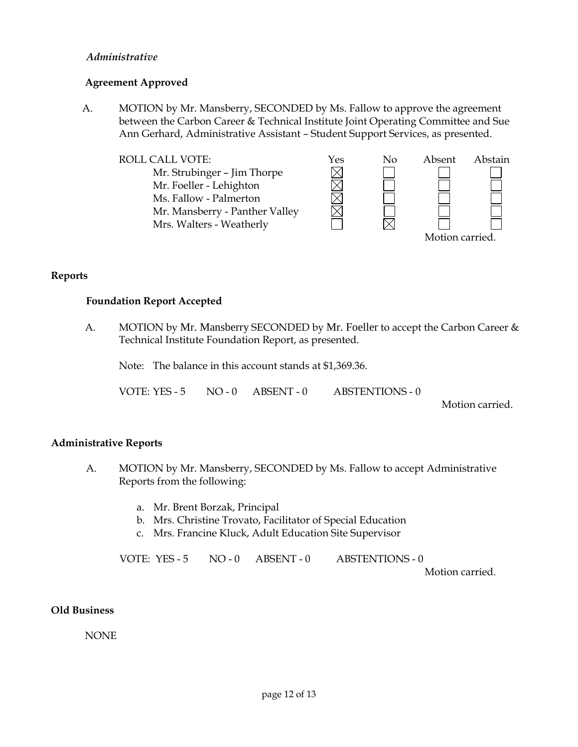### *Administrative*

### **Agreement Approved**

A. MOTION by Mr. Mansberry, SECONDED by Ms. Fallow to approve the agreement between the Carbon Career & Technical Institute Joint Operating Committee and Sue Ann Gerhard, Administrative Assistant – Student Support Services, as presented.

ROLL CALL VOTE:<br>
Mr. Strubinger – Jim Thorpe<br>
Mr. Foeller - Lehighton<br>
Ms. Fallow - Palmerton Mr. Strubinger – Jim Thorpe Mr. Foeller - Lehighton Ms. Fallow - Palmerton Mr. Mansberry - Panther Valley Mrs. Walters - Weatherly Motion carried.

#### **Reports**

#### **Foundation Report Accepted**

A. MOTION by Mr. Mansberry SECONDED by Mr. Foeller to accept the Carbon Career & Technical Institute Foundation Report, as presented.

Note: The balance in this account stands at \$1,369.36.

VOTE: YES - 5 NO - 0 ABSENT - 0 ABSTENTIONS - 0

Motion carried.

### **Administrative Reports**

- A. MOTION by Mr. Mansberry, SECONDED by Ms. Fallow to accept Administrative Reports from the following:
	- a. Mr. Brent Borzak, Principal
	- b. Mrs. Christine Trovato, Facilitator of Special Education
	- c. Mrs. Francine Kluck, Adult Education Site Supervisor

VOTE: YES - 5 NO - 0 ABSENT - 0 ABSTENTIONS - 0

Motion carried.

### **Old Business**

NONE